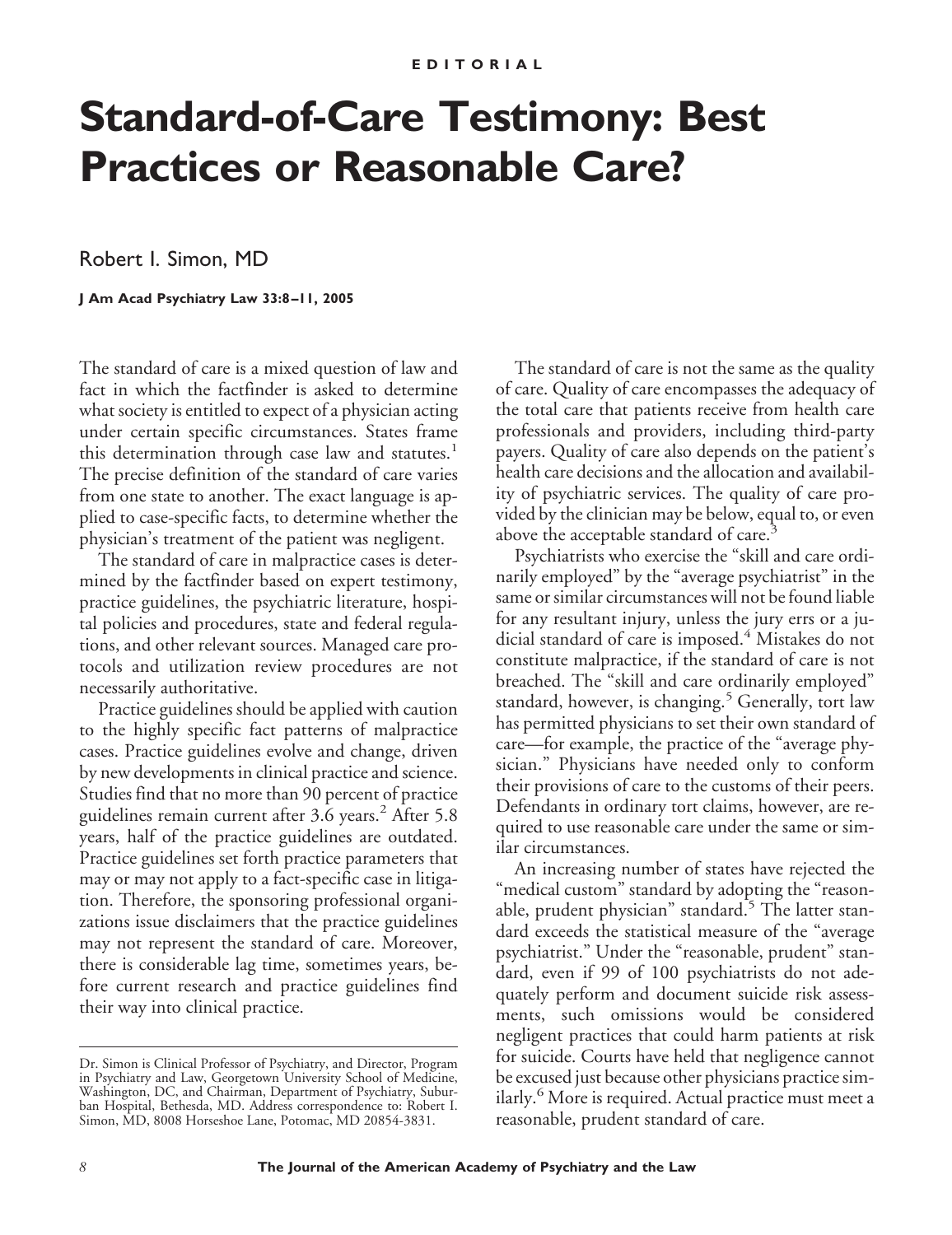# **Standard-of-Care Testimony: Best Practices or Reasonable Care?**

Robert I. Simon, MD

**J Am Acad Psychiatry Law 33:8 –11, 2005**

The standard of care is a mixed question of law and fact in which the factfinder is asked to determine what society is entitled to expect of a physician acting under certain specific circumstances. States frame this determination through case law and statutes.<sup>1</sup> The precise definition of the standard of care varies from one state to another. The exact language is applied to case-specific facts, to determine whether the physician's treatment of the patient was negligent.

The standard of care in malpractice cases is determined by the factfinder based on expert testimony, practice guidelines, the psychiatric literature, hospital policies and procedures, state and federal regulations, and other relevant sources. Managed care protocols and utilization review procedures are not necessarily authoritative.

Practice guidelines should be applied with caution to the highly specific fact patterns of malpractice cases. Practice guidelines evolve and change, driven by new developments in clinical practice and science. Studies find that no more than 90 percent of practice guidelines remain current after 3.6 years.<sup>2</sup> After 5.8 years, half of the practice guidelines are outdated. Practice guidelines set forth practice parameters that may or may not apply to a fact-specific case in litigation. Therefore, the sponsoring professional organizations issue disclaimers that the practice guidelines may not represent the standard of care. Moreover, there is considerable lag time, sometimes years, before current research and practice guidelines find their way into clinical practice.

The standard of care is not the same as the quality of care. Quality of care encompasses the adequacy of the total care that patients receive from health care professionals and providers, including third-party payers. Quality of care also depends on the patient's health care decisions and the allocation and availability of psychiatric services. The quality of care provided by the clinician may be below, equal to, or even above the acceptable standard of care.<sup>3</sup>

Psychiatrists who exercise the "skill and care ordinarily employed" by the "average psychiatrist" in the same or similar circumstances will not be found liable for any resultant injury, unless the jury errs or a judicial standard of care is imposed.<sup>4</sup> Mistakes do not constitute malpractice, if the standard of care is not breached. The "skill and care ordinarily employed" standard, however, is changing.<sup>5</sup> Generally, tort law has permitted physicians to set their own standard of care—for example, the practice of the "average physician." Physicians have needed only to conform their provisions of care to the customs of their peers. Defendants in ordinary tort claims, however, are required to use reasonable care under the same or similar circumstances.

An increasing number of states have rejected the "medical custom" standard by adopting the "reasonable, prudent physician" standard.<sup>5</sup> The latter standard exceeds the statistical measure of the "average psychiatrist." Under the "reasonable, prudent" standard, even if 99 of 100 psychiatrists do not adequately perform and document suicide risk assessments, such omissions would be considered negligent practices that could harm patients at risk for suicide. Courts have held that negligence cannot be excused just because other physicians practice similarly.<sup>6</sup> More is required. Actual practice must meet a reasonable, prudent standard of care.

Dr. Simon is Clinical Professor of Psychiatry, and Director, Program in Psychiatry and Law, Georgetown University School of Medicine, Washington, DC, and Chairman, Department of Psychiatry, Suburban Hospital, Bethesda, MD. Address correspondence to: Robert I. Simon, MD, 8008 Horseshoe Lane, Potomac, MD 20854-3831.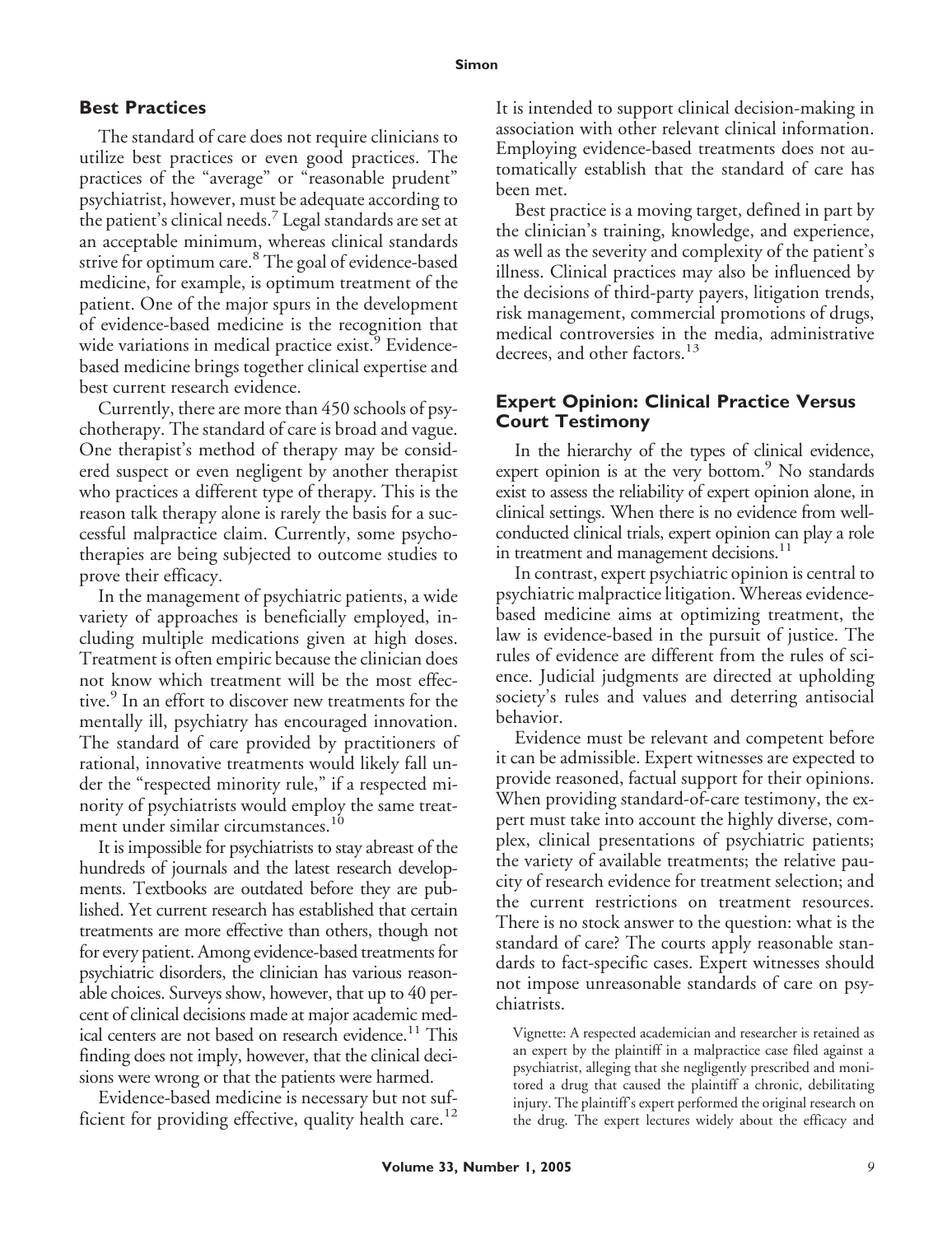## **Best Practices**

The standard of care does not require clinicians to utilize best practices or even good practices. The practices of the "average" or "reasonable prudent" psychiatrist, however, must be adequate according to the patient's clinical needs.<sup>7</sup> Legal standards are set at an acceptable minimum, whereas clinical standards strive for optimum care.<sup>8</sup> The goal of evidence-based medicine, for example, is optimum treatment of the patient. One of the major spurs in the development of evidence-based medicine is the recognition that wide variations in medical practice exist.<sup>9</sup> Evidencebased medicine brings together clinical expertise and best current research evidence.

Currently, there are more than 450 schools of psychotherapy. The standard of care is broad and vague. One therapist's method of therapy may be considered suspect or even negligent by another therapist who practices a different type of therapy. This is the reason talk therapy alone is rarely the basis for a successful malpractice claim. Currently, some psychotherapies are being subjected to outcome studies to prove their efficacy.

In the management of psychiatric patients, a wide variety of approaches is beneficially employed, including multiple medications given at high doses. Treatment is often empiric because the clinician does not know which treatment will be the most effective.<sup>9</sup> In an effort to discover new treatments for the mentally ill, psychiatry has encouraged innovation. The standard of care provided by practitioners of rational, innovative treatments would likely fall under the "respected minority rule," if a respected minority of psychiatrists would employ the same treatment under similar circumstances.<sup>10</sup>

It is impossible for psychiatrists to stay abreast of the hundreds of journals and the latest research developments. Textbooks are outdated before they are published. Yet current research has established that certain treatments are more effective than others, though not for every patient. Among evidence-based treatments for psychiatric disorders, the clinician has various reasonable choices. Surveys show, however, that up to 40 percent of clinical decisions made at major academic medical centers are not based on research evidence.<sup>11</sup> This finding does not imply, however, that the clinical decisions were wrong or that the patients were harmed.

Evidence-based medicine is necessary but not sufficient for providing effective, quality health care.<sup>12</sup> It is intended to support clinical decision-making in association with other relevant clinical information. Employing evidence-based treatments does not automatically establish that the standard of care has been met.

Best practice is a moving target, defined in part by the clinician's training, knowledge, and experience, as well as the severity and complexity of the patient's illness. Clinical practices may also be influenced by the decisions of third-party payers, litigation trends, risk management, commercial promotions of drugs, medical controversies in the media, administrative decrees, and other factors.<sup>13</sup>

## **Expert Opinion: Clinical Practice Versus Court Testimony**

In the hierarchy of the types of clinical evidence, expert opinion is at the very bottom.<sup>9</sup> No standards exist to assess the reliability of expert opinion alone, in clinical settings. When there is no evidence from wellconducted clinical trials, expert opinion can play a role in treatment and management decisions.<sup>11</sup>

In contrast, expert psychiatric opinion is central to psychiatric malpractice litigation. Whereas evidencebased medicine aims at optimizing treatment, the law is evidence-based in the pursuit of justice. The rules of evidence are different from the rules of science. Judicial judgments are directed at upholding society's rules and values and deterring antisocial behavior.

Evidence must be relevant and competent before it can be admissible. Expert witnesses are expected to provide reasoned, factual support for their opinions. When providing standard-of-care testimony, the expert must take into account the highly diverse, complex, clinical presentations of psychiatric patients; the variety of available treatments; the relative paucity of research evidence for treatment selection; and the current restrictions on treatment resources. There is no stock answer to the question: what is the standard of care? The courts apply reasonable standards to fact-specific cases. Expert witnesses should not impose unreasonable standards of care on psychiatrists.

Vignette: A respected academician and researcher is retained as an expert by the plaintiff in a malpractice case filed against a psychiatrist, alleging that she negligently prescribed and monitored a drug that caused the plaintiff a chronic, debilitating injury. The plaintiff's expert performed the original research on the drug. The expert lectures widely about the efficacy and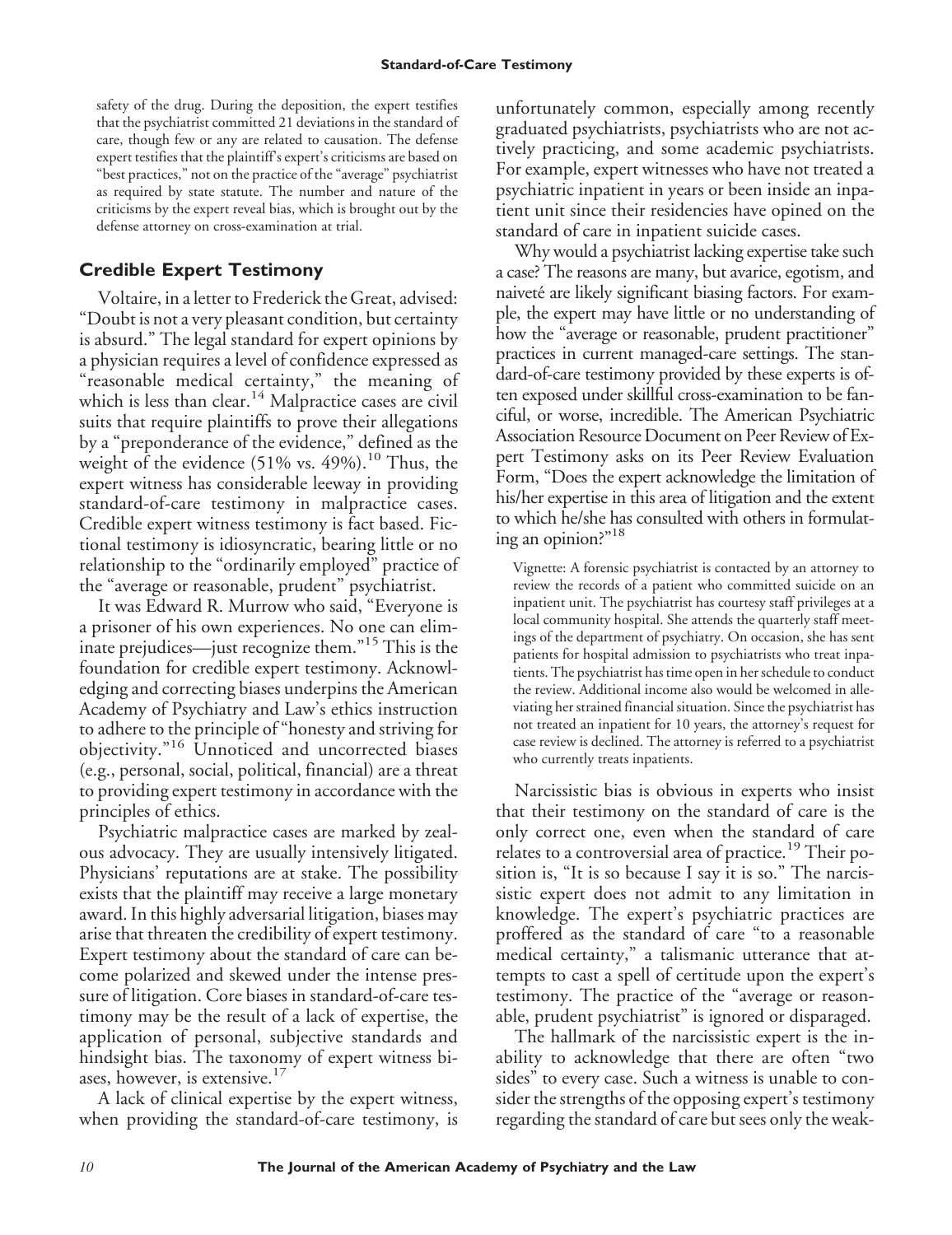safety of the drug. During the deposition, the expert testifies that the psychiatrist committed 21 deviations in the standard of care, though few or any are related to causation. The defense expert testifies that the plaintiff's expert's criticisms are based on "best practices," not on the practice of the "average" psychiatrist as required by state statute. The number and nature of the criticisms by the expert reveal bias, which is brought out by the defense attorney on cross-examination at trial.

# **Credible Expert Testimony**

Voltaire, in a letter to Frederick the Great, advised: "Doubt is not a very pleasant condition, but certainty is absurd." The legal standard for expert opinions by a physician requires a level of confidence expressed as "reasonable medical certainty," the meaning of which is less than clear.<sup>14</sup> Malpractice cases are civil suits that require plaintiffs to prove their allegations by a "preponderance of the evidence," defined as the weight of the evidence  $(51\% \text{ vs. } 49\%).$ <sup>10</sup> Thus, the expert witness has considerable leeway in providing standard-of-care testimony in malpractice cases. Credible expert witness testimony is fact based. Fictional testimony is idiosyncratic, bearing little or no relationship to the "ordinarily employed" practice of the "average or reasonable, prudent" psychiatrist.

It was Edward R. Murrow who said, "Everyone is a prisoner of his own experiences. No one can eliminate prejudices—just recognize them."<sup>15</sup> This is the foundation for credible expert testimony. Acknowledging and correcting biases underpins the American Academy of Psychiatry and Law's ethics instruction to adhere to the principle of "honesty and striving for objectivity."<sup>16</sup> Unnoticed and uncorrected biases (e.g., personal, social, political, financial) are a threat to providing expert testimony in accordance with the principles of ethics.

Psychiatric malpractice cases are marked by zealous advocacy. They are usually intensively litigated. Physicians' reputations are at stake. The possibility exists that the plaintiff may receive a large monetary award. In this highly adversarial litigation, biases may arise that threaten the credibility of expert testimony. Expert testimony about the standard of care can become polarized and skewed under the intense pressure of litigation. Core biases in standard-of-care testimony may be the result of a lack of expertise, the application of personal, subjective standards and hindsight bias. The taxonomy of expert witness biases, however, is extensive.<sup>17</sup>

A lack of clinical expertise by the expert witness, when providing the standard-of-care testimony, is unfortunately common, especially among recently graduated psychiatrists, psychiatrists who are not actively practicing, and some academic psychiatrists. For example, expert witnesses who have not treated a psychiatric inpatient in years or been inside an inpatient unit since their residencies have opined on the standard of care in inpatient suicide cases.

Why would a psychiatrist lacking expertise take such a case? The reasons are many, but avarice, egotism, and naiveté are likely significant biasing factors. For example, the expert may have little or no understanding of how the "average or reasonable, prudent practitioner" practices in current managed-care settings. The standard-of-care testimony provided by these experts is often exposed under skillful cross-examination to be fanciful, or worse, incredible. The American Psychiatric Association Resource Document on Peer Review of Expert Testimony asks on its Peer Review Evaluation Form, "Does the expert acknowledge the limitation of his/her expertise in this area of litigation and the extent to which he/she has consulted with others in formulating an opinion?"18

Vignette: A forensic psychiatrist is contacted by an attorney to review the records of a patient who committed suicide on an inpatient unit. The psychiatrist has courtesy staff privileges at a local community hospital. She attends the quarterly staff meetings of the department of psychiatry. On occasion, she has sent patients for hospital admission to psychiatrists who treat inpatients. The psychiatrist has time open in her schedule to conduct the review. Additional income also would be welcomed in alleviating her strained financial situation. Since the psychiatrist has not treated an inpatient for 10 years, the attorney's request for case review is declined. The attorney is referred to a psychiatrist who currently treats inpatients.

Narcissistic bias is obvious in experts who insist that their testimony on the standard of care is the only correct one, even when the standard of care relates to a controversial area of practice.<sup>19</sup> Their position is, "It is so because I say it is so." The narcissistic expert does not admit to any limitation in knowledge. The expert's psychiatric practices are proffered as the standard of care "to a reasonable medical certainty," a talismanic utterance that attempts to cast a spell of certitude upon the expert's testimony. The practice of the "average or reasonable, prudent psychiatrist" is ignored or disparaged.

The hallmark of the narcissistic expert is the inability to acknowledge that there are often "two sides" to every case. Such a witness is unable to consider the strengths of the opposing expert's testimony regarding the standard of care but sees only the weak-